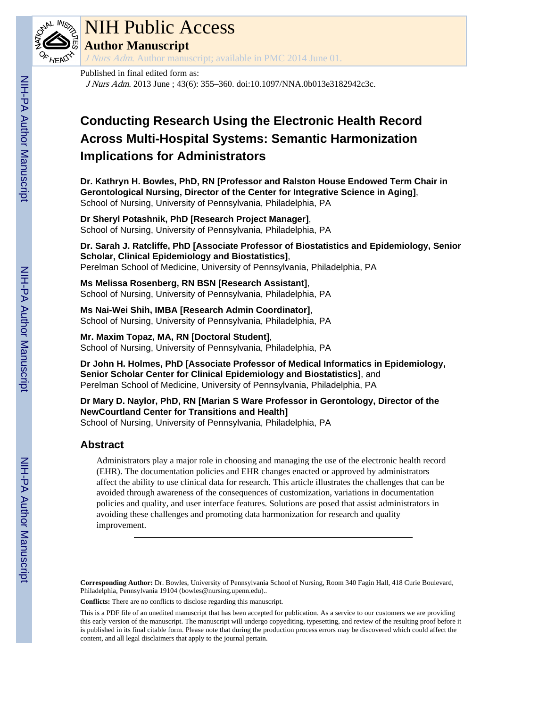

## NIH Public Access

**Author Manuscript**

J Nurs Adm. Author manuscript; available in PMC 2014 June 01.

#### Published in final edited form as:

J Nurs Adm. 2013 June ; 43(6): 355–360. doi:10.1097/NNA.0b013e3182942c3c.

### **Conducting Research Using the Electronic Health Record Across Multi-Hospital Systems: Semantic Harmonization Implications for Administrators**

**Dr. Kathryn H. Bowles, PhD, RN [Professor and Ralston House Endowed Term Chair in Gerontological Nursing, Director of the Center for Integrative Science in Aging]**, School of Nursing, University of Pennsylvania, Philadelphia, PA

**Dr Sheryl Potashnik, PhD [Research Project Manager]**, School of Nursing, University of Pennsylvania, Philadelphia, PA

**Dr. Sarah J. Ratcliffe, PhD [Associate Professor of Biostatistics and Epidemiology, Senior Scholar, Clinical Epidemiology and Biostatistics]**, Perelman School of Medicine, University of Pennsylvania, Philadelphia, PA

**Ms Melissa Rosenberg, RN BSN [Research Assistant]**, School of Nursing, University of Pennsylvania, Philadelphia, PA

**Ms Nai-Wei Shih, IMBA [Research Admin Coordinator]**, School of Nursing, University of Pennsylvania, Philadelphia, PA

**Mr. Maxim Topaz, MA, RN [Doctoral Student]**, School of Nursing, University of Pennsylvania, Philadelphia, PA

**Dr John H. Holmes, PhD [Associate Professor of Medical Informatics in Epidemiology, Senior Scholar Center for Clinical Epidemiology and Biostatistics]**, and Perelman School of Medicine, University of Pennsylvania, Philadelphia, PA

**Dr Mary D. Naylor, PhD, RN [Marian S Ware Professor in Gerontology, Director of the NewCourtland Center for Transitions and Health]** School of Nursing, University of Pennsylvania, Philadelphia, PA

#### **Abstract**

Administrators play a major role in choosing and managing the use of the electronic health record (EHR). The documentation policies and EHR changes enacted or approved by administrators affect the ability to use clinical data for research. This article illustrates the challenges that can be avoided through awareness of the consequences of customization, variations in documentation policies and quality, and user interface features. Solutions are posed that assist administrators in avoiding these challenges and promoting data harmonization for research and quality improvement.

**Corresponding Author:** Dr. Bowles, University of Pennsylvania School of Nursing, Room 340 Fagin Hall, 418 Curie Boulevard, Philadelphia, Pennsylvania 19104 (bowles@nursing.upenn.edu)..

**Conflicts:** There are no conflicts to disclose regarding this manuscript.

This is a PDF file of an unedited manuscript that has been accepted for publication. As a service to our customers we are providing this early version of the manuscript. The manuscript will undergo copyediting, typesetting, and review of the resulting proof before it is published in its final citable form. Please note that during the production process errors may be discovered which could affect the content, and all legal disclaimers that apply to the journal pertain.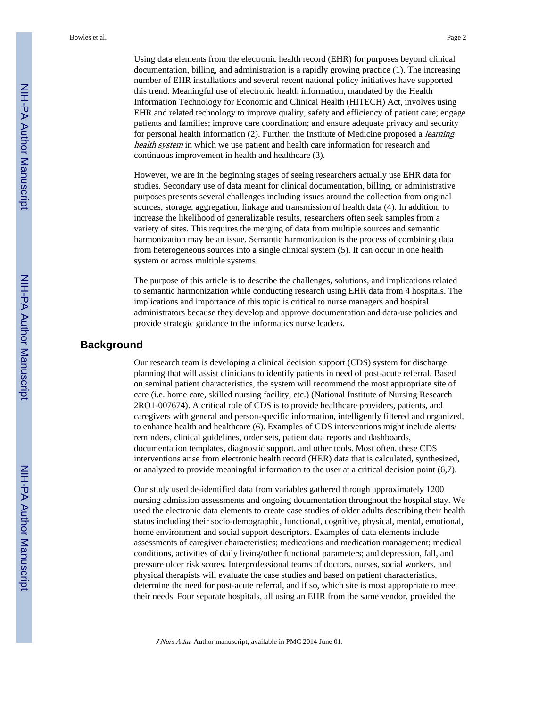Using data elements from the electronic health record (EHR) for purposes beyond clinical documentation, billing, and administration is a rapidly growing practice (1). The increasing number of EHR installations and several recent national policy initiatives have supported this trend. Meaningful use of electronic health information, mandated by the Health Information Technology for Economic and Clinical Health (HITECH) Act, involves using EHR and related technology to improve quality, safety and efficiency of patient care; engage patients and families; improve care coordination; and ensure adequate privacy and security for personal health information (2). Further, the Institute of Medicine proposed a *learning* health system in which we use patient and health care information for research and continuous improvement in health and healthcare (3).

However, we are in the beginning stages of seeing researchers actually use EHR data for studies. Secondary use of data meant for clinical documentation, billing, or administrative purposes presents several challenges including issues around the collection from original sources, storage, aggregation, linkage and transmission of health data (4). In addition, to increase the likelihood of generalizable results, researchers often seek samples from a variety of sites. This requires the merging of data from multiple sources and semantic harmonization may be an issue. Semantic harmonization is the process of combining data from heterogeneous sources into a single clinical system (5). It can occur in one health system or across multiple systems.

The purpose of this article is to describe the challenges, solutions, and implications related to semantic harmonization while conducting research using EHR data from 4 hospitals. The implications and importance of this topic is critical to nurse managers and hospital administrators because they develop and approve documentation and data-use policies and provide strategic guidance to the informatics nurse leaders.

#### **Background**

Our research team is developing a clinical decision support (CDS) system for discharge planning that will assist clinicians to identify patients in need of post-acute referral. Based on seminal patient characteristics, the system will recommend the most appropriate site of care (i.e. home care, skilled nursing facility, etc.) (National Institute of Nursing Research 2RO1-007674). A critical role of CDS is to provide healthcare providers, patients, and caregivers with general and person-specific information, intelligently filtered and organized, to enhance health and healthcare (6). Examples of CDS interventions might include alerts/ reminders, clinical guidelines, order sets, patient data reports and dashboards, documentation templates, diagnostic support, and other tools. Most often, these CDS interventions arise from electronic health record (HER) data that is calculated, synthesized, or analyzed to provide meaningful information to the user at a critical decision point (6,7).

Our study used de-identified data from variables gathered through approximately 1200 nursing admission assessments and ongoing documentation throughout the hospital stay. We used the electronic data elements to create case studies of older adults describing their health status including their socio-demographic, functional, cognitive, physical, mental, emotional, home environment and social support descriptors. Examples of data elements include assessments of caregiver characteristics; medications and medication management; medical conditions, activities of daily living/other functional parameters; and depression, fall, and pressure ulcer risk scores. Interprofessional teams of doctors, nurses, social workers, and physical therapists will evaluate the case studies and based on patient characteristics, determine the need for post-acute referral, and if so, which site is most appropriate to meet their needs. Four separate hospitals, all using an EHR from the same vendor, provided the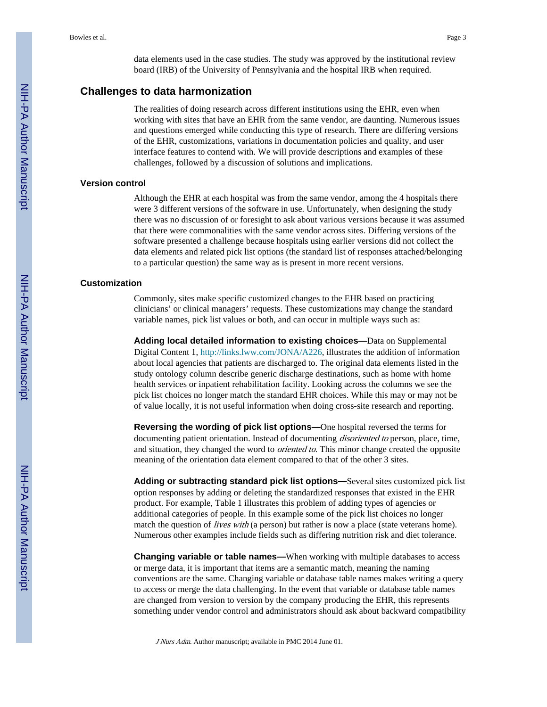data elements used in the case studies. The study was approved by the institutional review board (IRB) of the University of Pennsylvania and the hospital IRB when required.

#### **Challenges to data harmonization**

The realities of doing research across different institutions using the EHR, even when working with sites that have an EHR from the same vendor, are daunting. Numerous issues and questions emerged while conducting this type of research. There are differing versions of the EHR, customizations, variations in documentation policies and quality, and user interface features to contend with. We will provide descriptions and examples of these challenges, followed by a discussion of solutions and implications.

#### **Version control**

Although the EHR at each hospital was from the same vendor, among the 4 hospitals there were 3 different versions of the software in use. Unfortunately, when designing the study there was no discussion of or foresight to ask about various versions because it was assumed that there were commonalities with the same vendor across sites. Differing versions of the software presented a challenge because hospitals using earlier versions did not collect the data elements and related pick list options (the standard list of responses attached/belonging to a particular question) the same way as is present in more recent versions.

#### **Customization**

Commonly, sites make specific customized changes to the EHR based on practicing clinicians' or clinical managers' requests. These customizations may change the standard variable names, pick list values or both, and can occur in multiple ways such as:

**Adding local detailed information to existing choices—**Data on Supplemental Digital Content 1, [http://links.lww.com/JONA/A226,](http://links.lww.com/JONA/A226) illustrates the addition of information about local agencies that patients are discharged to. The original data elements listed in the study ontology column describe generic discharge destinations, such as home with home health services or inpatient rehabilitation facility. Looking across the columns we see the pick list choices no longer match the standard EHR choices. While this may or may not be of value locally, it is not useful information when doing cross-site research and reporting.

**Reversing the wording of pick list options—**One hospital reversed the terms for documenting patient orientation. Instead of documenting *disoriented to* person, place, time, and situation, they changed the word to *oriented to*. This minor change created the opposite meaning of the orientation data element compared to that of the other 3 sites.

**Adding or subtracting standard pick list options—**Several sites customized pick list option responses by adding or deleting the standardized responses that existed in the EHR product. For example, Table 1 illustrates this problem of adding types of agencies or additional categories of people. In this example some of the pick list choices no longer match the question of *lives with* (a person) but rather is now a place (state veterans home). Numerous other examples include fields such as differing nutrition risk and diet tolerance.

**Changing variable or table names—**When working with multiple databases to access or merge data, it is important that items are a semantic match, meaning the naming conventions are the same. Changing variable or database table names makes writing a query to access or merge the data challenging. In the event that variable or database table names are changed from version to version by the company producing the EHR, this represents something under vendor control and administrators should ask about backward compatibility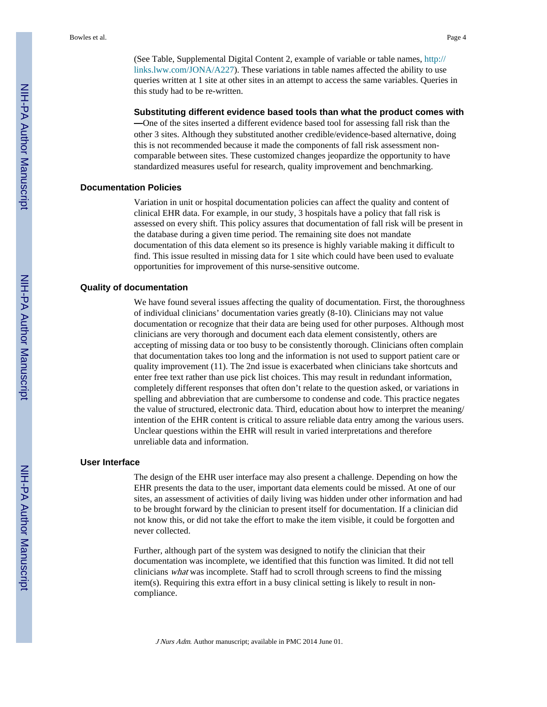(See Table, Supplemental Digital Content 2, example of variable or table names, [http://](http://links.lww.com/JONA/A227) [links.lww.com/JONA/A227](http://links.lww.com/JONA/A227)). These variations in table names affected the ability to use queries written at 1 site at other sites in an attempt to access the same variables. Queries in this study had to be re-written.

#### **Substituting different evidence based tools than what the product comes with**

**—**One of the sites inserted a different evidence based tool for assessing fall risk than the other 3 sites. Although they substituted another credible/evidence-based alternative, doing this is not recommended because it made the components of fall risk assessment noncomparable between sites. These customized changes jeopardize the opportunity to have standardized measures useful for research, quality improvement and benchmarking.

#### **Documentation Policies**

Variation in unit or hospital documentation policies can affect the quality and content of clinical EHR data. For example, in our study, 3 hospitals have a policy that fall risk is assessed on every shift. This policy assures that documentation of fall risk will be present in the database during a given time period. The remaining site does not mandate documentation of this data element so its presence is highly variable making it difficult to find. This issue resulted in missing data for 1 site which could have been used to evaluate opportunities for improvement of this nurse-sensitive outcome.

#### **Quality of documentation**

We have found several issues affecting the quality of documentation. First, the thoroughness of individual clinicians' documentation varies greatly (8-10). Clinicians may not value documentation or recognize that their data are being used for other purposes. Although most clinicians are very thorough and document each data element consistently, others are accepting of missing data or too busy to be consistently thorough. Clinicians often complain that documentation takes too long and the information is not used to support patient care or quality improvement (11). The 2nd issue is exacerbated when clinicians take shortcuts and enter free text rather than use pick list choices. This may result in redundant information, completely different responses that often don't relate to the question asked, or variations in spelling and abbreviation that are cumbersome to condense and code. This practice negates the value of structured, electronic data. Third, education about how to interpret the meaning/ intention of the EHR content is critical to assure reliable data entry among the various users. Unclear questions within the EHR will result in varied interpretations and therefore unreliable data and information.

#### **User Interface**

The design of the EHR user interface may also present a challenge. Depending on how the EHR presents the data to the user, important data elements could be missed. At one of our sites, an assessment of activities of daily living was hidden under other information and had to be brought forward by the clinician to present itself for documentation. If a clinician did not know this, or did not take the effort to make the item visible, it could be forgotten and never collected.

Further, although part of the system was designed to notify the clinician that their documentation was incomplete, we identified that this function was limited. It did not tell clinicians what was incomplete. Staff had to scroll through screens to find the missing item(s). Requiring this extra effort in a busy clinical setting is likely to result in noncompliance.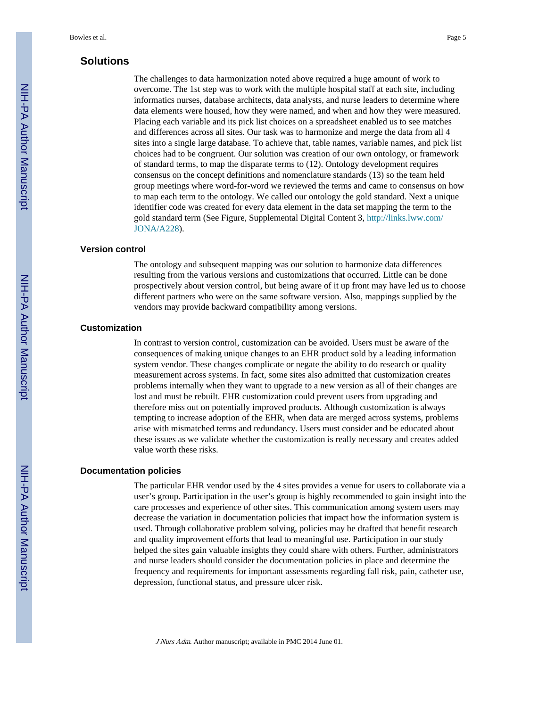#### **Solutions**

The challenges to data harmonization noted above required a huge amount of work to overcome. The 1st step was to work with the multiple hospital staff at each site, including informatics nurses, database architects, data analysts, and nurse leaders to determine where data elements were housed, how they were named, and when and how they were measured. Placing each variable and its pick list choices on a spreadsheet enabled us to see matches and differences across all sites. Our task was to harmonize and merge the data from all 4 sites into a single large database. To achieve that, table names, variable names, and pick list choices had to be congruent. Our solution was creation of our own ontology, or framework of standard terms, to map the disparate terms to (12). Ontology development requires consensus on the concept definitions and nomenclature standards (13) so the team held group meetings where word-for-word we reviewed the terms and came to consensus on how to map each term to the ontology. We called our ontology the gold standard. Next a unique identifier code was created for every data element in the data set mapping the term to the gold standard term (See Figure, Supplemental Digital Content 3, [http://links.lww.com/](http://links.lww.com/JONA/A228) [JONA/A228\)](http://links.lww.com/JONA/A228).

#### **Version control**

The ontology and subsequent mapping was our solution to harmonize data differences resulting from the various versions and customizations that occurred. Little can be done prospectively about version control, but being aware of it up front may have led us to choose different partners who were on the same software version. Also, mappings supplied by the vendors may provide backward compatibility among versions.

#### **Customization**

In contrast to version control, customization can be avoided. Users must be aware of the consequences of making unique changes to an EHR product sold by a leading information system vendor. These changes complicate or negate the ability to do research or quality measurement across systems. In fact, some sites also admitted that customization creates problems internally when they want to upgrade to a new version as all of their changes are lost and must be rebuilt. EHR customization could prevent users from upgrading and therefore miss out on potentially improved products. Although customization is always tempting to increase adoption of the EHR, when data are merged across systems, problems arise with mismatched terms and redundancy. Users must consider and be educated about these issues as we validate whether the customization is really necessary and creates added value worth these risks.

#### **Documentation policies**

The particular EHR vendor used by the 4 sites provides a venue for users to collaborate via a user's group. Participation in the user's group is highly recommended to gain insight into the care processes and experience of other sites. This communication among system users may decrease the variation in documentation policies that impact how the information system is used. Through collaborative problem solving, policies may be drafted that benefit research and quality improvement efforts that lead to meaningful use. Participation in our study helped the sites gain valuable insights they could share with others. Further, administrators and nurse leaders should consider the documentation policies in place and determine the frequency and requirements for important assessments regarding fall risk, pain, catheter use, depression, functional status, and pressure ulcer risk.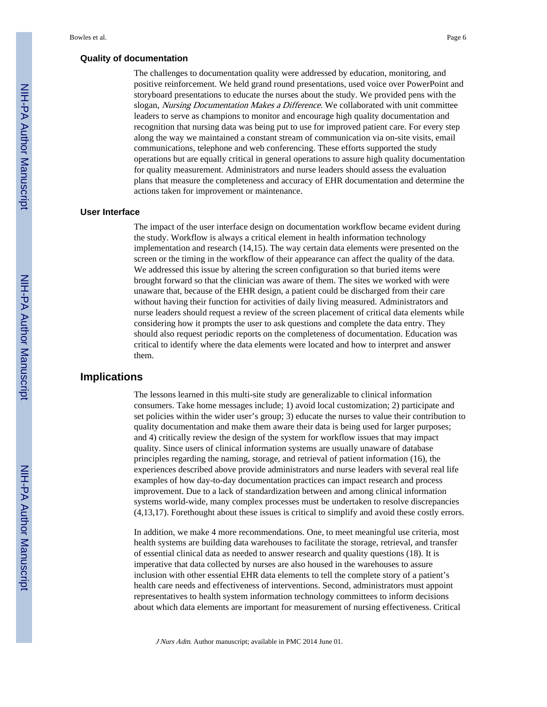#### **Quality of documentation**

The challenges to documentation quality were addressed by education, monitoring, and positive reinforcement. We held grand round presentations, used voice over PowerPoint and storyboard presentations to educate the nurses about the study. We provided pens with the slogan, *Nursing Documentation Makes a Difference*. We collaborated with unit committee leaders to serve as champions to monitor and encourage high quality documentation and recognition that nursing data was being put to use for improved patient care. For every step along the way we maintained a constant stream of communication via on-site visits, email communications, telephone and web conferencing. These efforts supported the study operations but are equally critical in general operations to assure high quality documentation for quality measurement. Administrators and nurse leaders should assess the evaluation plans that measure the completeness and accuracy of EHR documentation and determine the actions taken for improvement or maintenance.

#### **User Interface**

The impact of the user interface design on documentation workflow became evident during the study. Workflow is always a critical element in health information technology implementation and research (14,15). The way certain data elements were presented on the screen or the timing in the workflow of their appearance can affect the quality of the data. We addressed this issue by altering the screen configuration so that buried items were brought forward so that the clinician was aware of them. The sites we worked with were unaware that, because of the EHR design, a patient could be discharged from their care without having their function for activities of daily living measured. Administrators and nurse leaders should request a review of the screen placement of critical data elements while considering how it prompts the user to ask questions and complete the data entry. They should also request periodic reports on the completeness of documentation. Education was critical to identify where the data elements were located and how to interpret and answer them.

#### **Implications**

The lessons learned in this multi-site study are generalizable to clinical information consumers. Take home messages include; 1) avoid local customization; 2) participate and set policies within the wider user's group; 3) educate the nurses to value their contribution to quality documentation and make them aware their data is being used for larger purposes; and 4) critically review the design of the system for workflow issues that may impact quality. Since users of clinical information systems are usually unaware of database principles regarding the naming, storage, and retrieval of patient information (16), the experiences described above provide administrators and nurse leaders with several real life examples of how day-to-day documentation practices can impact research and process improvement. Due to a lack of standardization between and among clinical information systems world-wide, many complex processes must be undertaken to resolve discrepancies (4,13,17). Forethought about these issues is critical to simplify and avoid these costly errors.

In addition, we make 4 more recommendations. One, to meet meaningful use criteria, most health systems are building data warehouses to facilitate the storage, retrieval, and transfer of essential clinical data as needed to answer research and quality questions (18). It is imperative that data collected by nurses are also housed in the warehouses to assure inclusion with other essential EHR data elements to tell the complete story of a patient's health care needs and effectiveness of interventions. Second, administrators must appoint representatives to health system information technology committees to inform decisions about which data elements are important for measurement of nursing effectiveness. Critical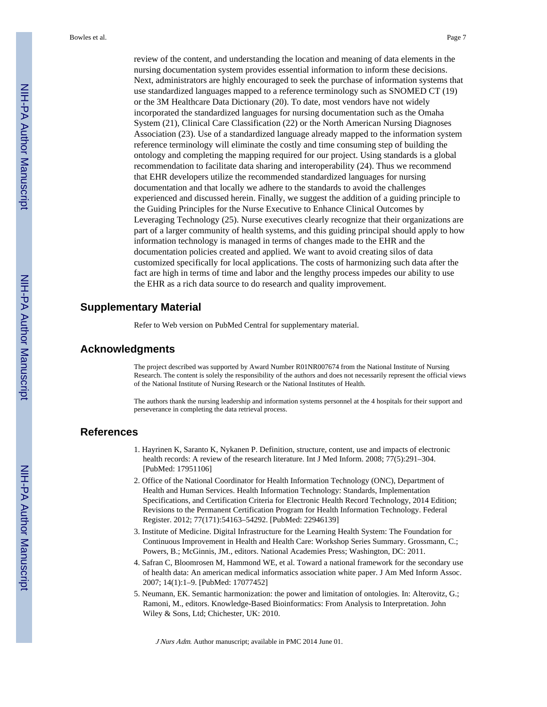review of the content, and understanding the location and meaning of data elements in the nursing documentation system provides essential information to inform these decisions. Next, administrators are highly encouraged to seek the purchase of information systems that use standardized languages mapped to a reference terminology such as SNOMED CT (19) or the 3M Healthcare Data Dictionary (20). To date, most vendors have not widely incorporated the standardized languages for nursing documentation such as the Omaha System (21), Clinical Care Classification (22) or the North American Nursing Diagnoses Association (23). Use of a standardized language already mapped to the information system reference terminology will eliminate the costly and time consuming step of building the ontology and completing the mapping required for our project. Using standards is a global recommendation to facilitate data sharing and interoperability (24). Thus we recommend that EHR developers utilize the recommended standardized languages for nursing documentation and that locally we adhere to the standards to avoid the challenges experienced and discussed herein. Finally, we suggest the addition of a guiding principle to the Guiding Principles for the Nurse Executive to Enhance Clinical Outcomes by Leveraging Technology (25). Nurse executives clearly recognize that their organizations are part of a larger community of health systems, and this guiding principal should apply to how information technology is managed in terms of changes made to the EHR and the documentation policies created and applied. We want to avoid creating silos of data customized specifically for local applications. The costs of harmonizing such data after the fact are high in terms of time and labor and the lengthy process impedes our ability to use the EHR as a rich data source to do research and quality improvement.

#### **Supplementary Material**

Refer to Web version on PubMed Central for supplementary material.

#### **Acknowledgments**

The project described was supported by Award Number R01NR007674 from the National Institute of Nursing Research. The content is solely the responsibility of the authors and does not necessarily represent the official views of the National Institute of Nursing Research or the National Institutes of Health.

The authors thank the nursing leadership and information systems personnel at the 4 hospitals for their support and perseverance in completing the data retrieval process.

#### **References**

- 1. Hayrinen K, Saranto K, Nykanen P. Definition, structure, content, use and impacts of electronic health records: A review of the research literature. Int J Med Inform. 2008; 77(5):291–304. [PubMed: 17951106]
- 2. Office of the National Coordinator for Health Information Technology (ONC), Department of Health and Human Services. Health Information Technology: Standards, Implementation Specifications, and Certification Criteria for Electronic Health Record Technology, 2014 Edition; Revisions to the Permanent Certification Program for Health Information Technology. Federal Register. 2012; 77(171):54163–54292. [PubMed: 22946139]
- 3. Institute of Medicine. Digital Infrastructure for the Learning Health System: The Foundation for Continuous Improvement in Health and Health Care: Workshop Series Summary. Grossmann, C.; Powers, B.; McGinnis, JM., editors. National Academies Press; Washington, DC: 2011.
- 4. Safran C, Bloomrosen M, Hammond WE, et al. Toward a national framework for the secondary use of health data: An american medical informatics association white paper. J Am Med Inform Assoc. 2007; 14(1):1–9. [PubMed: 17077452]
- 5. Neumann, EK. Semantic harmonization: the power and limitation of ontologies. In: Alterovitz, G.; Ramoni, M., editors. Knowledge-Based Bioinformatics: From Analysis to Interpretation. John Wiley & Sons, Ltd; Chichester, UK: 2010.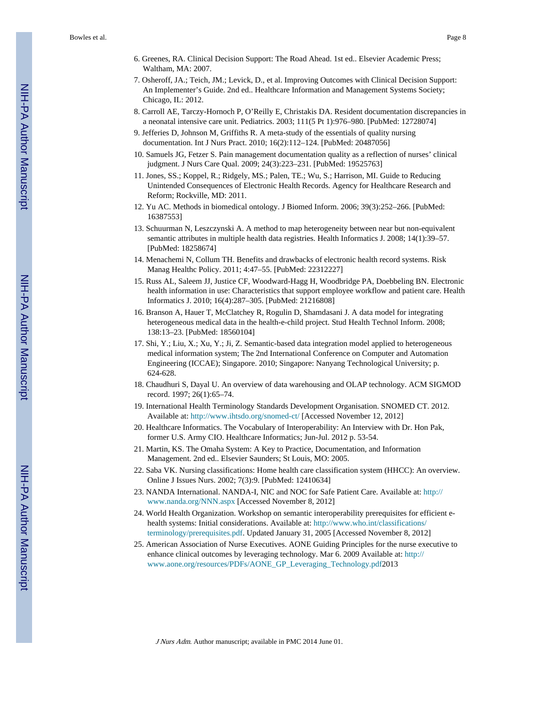- 6. Greenes, RA. Clinical Decision Support: The Road Ahead. 1st ed.. Elsevier Academic Press; Waltham, MA: 2007.
- 7. Osheroff, JA.; Teich, JM.; Levick, D., et al. Improving Outcomes with Clinical Decision Support: An Implementer's Guide. 2nd ed.. Healthcare Information and Management Systems Society; Chicago, IL: 2012.
- 8. Carroll AE, Tarczy-Hornoch P, O'Reilly E, Christakis DA. Resident documentation discrepancies in a neonatal intensive care unit. Pediatrics. 2003; 111(5 Pt 1):976–980. [PubMed: 12728074]
- 9. Jefferies D, Johnson M, Griffiths R. A meta-study of the essentials of quality nursing documentation. Int J Nurs Pract. 2010; 16(2):112–124. [PubMed: 20487056]
- 10. Samuels JG, Fetzer S. Pain management documentation quality as a reflection of nurses' clinical judgment. J Nurs Care Qual. 2009; 24(3):223–231. [PubMed: 19525763]
- 11. Jones, SS.; Koppel, R.; Ridgely, MS.; Palen, TE.; Wu, S.; Harrison, MI. Guide to Reducing Unintended Consequences of Electronic Health Records. Agency for Healthcare Research and Reform; Rockville, MD: 2011.
- 12. Yu AC. Methods in biomedical ontology. J Biomed Inform. 2006; 39(3):252–266. [PubMed: 16387553]
- 13. Schuurman N, Leszczynski A. A method to map heterogeneity between near but non-equivalent semantic attributes in multiple health data registries. Health Informatics J. 2008; 14(1):39–57. [PubMed: 18258674]
- 14. Menachemi N, Collum TH. Benefits and drawbacks of electronic health record systems. Risk Manag Healthc Policy. 2011; 4:47–55. [PubMed: 22312227]
- 15. Russ AL, Saleem JJ, Justice CF, Woodward-Hagg H, Woodbridge PA, Doebbeling BN. Electronic health information in use: Characteristics that support employee workflow and patient care. Health Informatics J. 2010; 16(4):287–305. [PubMed: 21216808]
- 16. Branson A, Hauer T, McClatchey R, Rogulin D, Shamdasani J. A data model for integrating heterogeneous medical data in the health-e-child project. Stud Health Technol Inform. 2008; 138:13–23. [PubMed: 18560104]
- 17. Shi, Y.; Liu, X.; Xu, Y.; Ji, Z. Semantic-based data integration model applied to heterogeneous medical information system; The 2nd International Conference on Computer and Automation Engineering (ICCAE); Singapore. 2010; Singapore: Nanyang Technological University; p. 624-628.
- 18. Chaudhuri S, Dayal U. An overview of data warehousing and OLAP technology. ACM SIGMOD record. 1997; 26(1):65–74.
- 19. International Health Terminology Standards Development Organisation. SNOMED CT. 2012. Available at:<http://www.ihtsdo.org/snomed-ct/> [Accessed November 12, 2012]
- 20. Healthcare Informatics. The Vocabulary of Interoperability: An Interview with Dr. Hon Pak, former U.S. Army CIO. Healthcare Informatics; Jun-Jul. 2012 p. 53-54.
- 21. Martin, KS. The Omaha System: A Key to Practice, Documentation, and Information Management. 2nd ed.. Elsevier Saunders; St Louis, MO: 2005.
- 22. Saba VK. Nursing classifications: Home health care classification system (HHCC): An overview. Online J Issues Nurs. 2002; 7(3):9. [PubMed: 12410634]
- 23. NANDA International. NANDA-I, NIC and NOC for Safe Patient Care. Available at: [http://](http://www.nanda.org/NNN.aspx) [www.nanda.org/NNN.aspx](http://www.nanda.org/NNN.aspx) [Accessed November 8, 2012]
- 24. World Health Organization. Workshop on semantic interoperability prerequisites for efficient ehealth systems: Initial considerations. Available at: [http://www.who.int/classifications/](http://www.who.int/classifications/terminology/prerequisites.pdf) [terminology/prerequisites.pdf.](http://www.who.int/classifications/terminology/prerequisites.pdf) Updated January 31, 2005 [Accessed November 8, 2012]
- 25. American Association of Nurse Executives. AONE Guiding Principles for the nurse executive to enhance clinical outcomes by leveraging technology. Mar 6. 2009 Available at: [http://](http://www.aone.org/resources/PDFs/AONE_GP_Leveraging_Technology.pdf) [www.aone.org/resources/PDFs/AONE\\_GP\\_Leveraging\\_Technology.pdf2](http://www.aone.org/resources/PDFs/AONE_GP_Leveraging_Technology.pdf)013